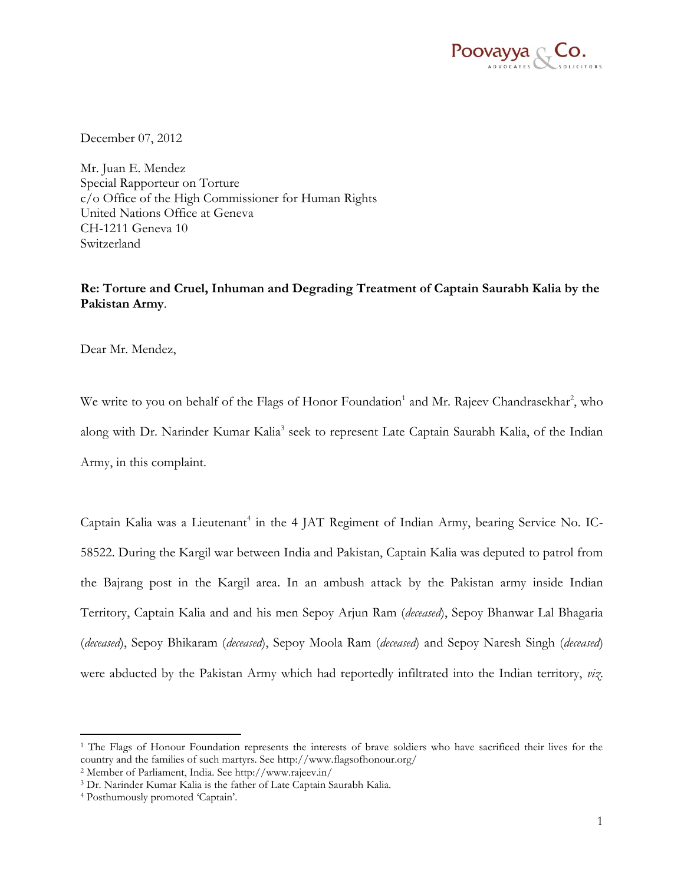

December 07, 2012

Mr. Juan E. Mendez Special Rapporteur on Torture c/o Office of the High Commissioner for Human Rights United Nations Office at Geneva CH-1211 Geneva 10 Switzerland

# **Re: Torture and Cruel, Inhuman and Degrading Treatment of Captain Saurabh Kalia by the Pakistan Army**.

Dear Mr. Mendez,

We write to you on behalf of the Flags of Honor Foundation<sup>1</sup> and Mr. Rajeev Chandrasekhar<sup>2</sup>, who along with Dr. Narinder Kumar Kalia<sup>3</sup> seek to represent Late Captain Saurabh Kalia, of the Indian Army, in this complaint.

Captain Kalia was a Lieutenant<sup>4</sup> in the 4 JAT Regiment of Indian Army, bearing Service No. IC-58522. During the Kargil war between India and Pakistan, Captain Kalia was deputed to patrol from the Bajrang post in the Kargil area. In an ambush attack by the Pakistan army inside Indian Territory, Captain Kalia and and his men Sepoy Arjun Ram (*deceased*), Sepoy Bhanwar Lal Bhagaria (*deceased*), Sepoy Bhikaram (*deceased*), Sepoy Moola Ram (*deceased*) and Sepoy Naresh Singh (*deceased*) were abducted by the Pakistan Army which had reportedly infiltrated into the Indian territory, *viz*.

 $\overline{a}$ 

<sup>&</sup>lt;sup>1</sup> The Flags of Honour Foundation represents the interests of brave soldiers who have sacrificed their lives for the country and the families of such martyrs. See http://www.flagsofhonour.org/

<sup>2</sup> Member of Parliament, India. See http://www.rajeev.in/

<sup>3</sup> Dr. Narinder Kumar Kalia is the father of Late Captain Saurabh Kalia.

<sup>4</sup> Posthumously promoted "Captain".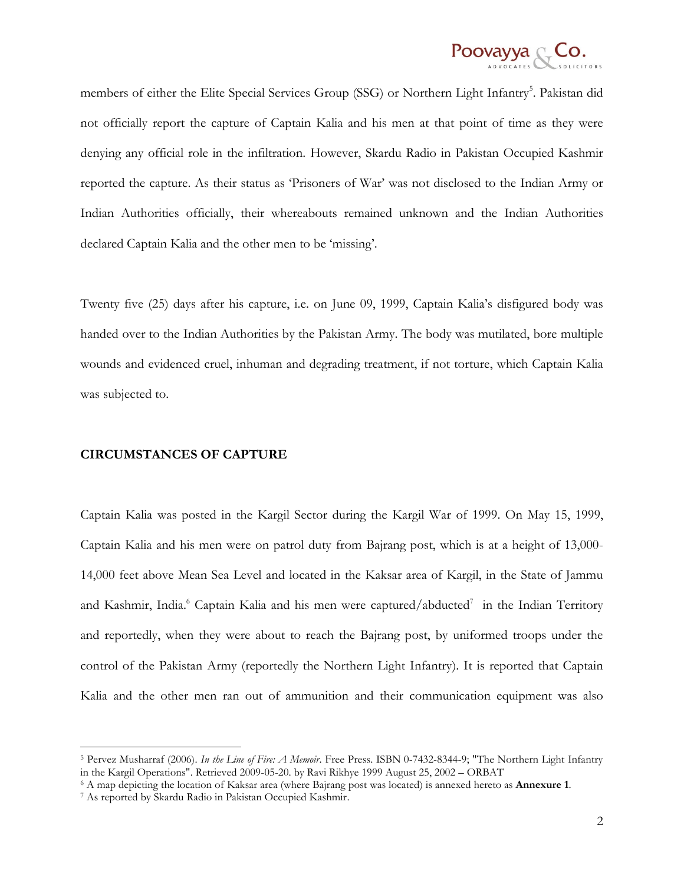

members of either the Elite Special Services Group (SSG) or Northern Light Infantry<sup>5</sup>. Pakistan did not officially report the capture of Captain Kalia and his men at that point of time as they were denying any official role in the infiltration. However, Skardu Radio in Pakistan Occupied Kashmir reported the capture. As their status as "Prisoners of War" was not disclosed to the Indian Army or Indian Authorities officially, their whereabouts remained unknown and the Indian Authorities declared Captain Kalia and the other men to be "missing".

Twenty five (25) days after his capture, i.e. on June 09, 1999, Captain Kalia"s disfigured body was handed over to the Indian Authorities by the Pakistan Army. The body was mutilated, bore multiple wounds and evidenced cruel, inhuman and degrading treatment, if not torture, which Captain Kalia was subjected to.

### **CIRCUMSTANCES OF CAPTURE**

Captain Kalia was posted in the Kargil Sector during the Kargil War of 1999. On May 15, 1999, Captain Kalia and his men were on patrol duty from Bajrang post, which is at a height of 13,000- 14,000 feet above Mean Sea Level and located in the Kaksar area of Kargil, in the State of Jammu and Kashmir, India.<sup>6</sup> Captain Kalia and his men were captured/abducted<sup>7</sup> in the Indian Territory and reportedly, when they were about to reach the Bajrang post, by uniformed troops under the control of the Pakistan Army (reportedly the Northern Light Infantry). It is reported that Captain Kalia and the other men ran out of ammunition and their communication equipment was also

 $\overline{a}$ 

<sup>5</sup> Pervez Musharraf (2006). *In the Line of Fire: A Memoir*. Free Press. ISBN 0-7432-8344-9; "The Northern Light Infantry in the Kargil Operations". Retrieved 2009-05-20. by Ravi Rikhye 1999 August 25, 2002 – ORBAT

<sup>6</sup> A map depicting the location of Kaksar area (where Bajrang post was located) is annexed hereto as **Annexure 1**.

<sup>7</sup> As reported by Skardu Radio in Pakistan Occupied Kashmir.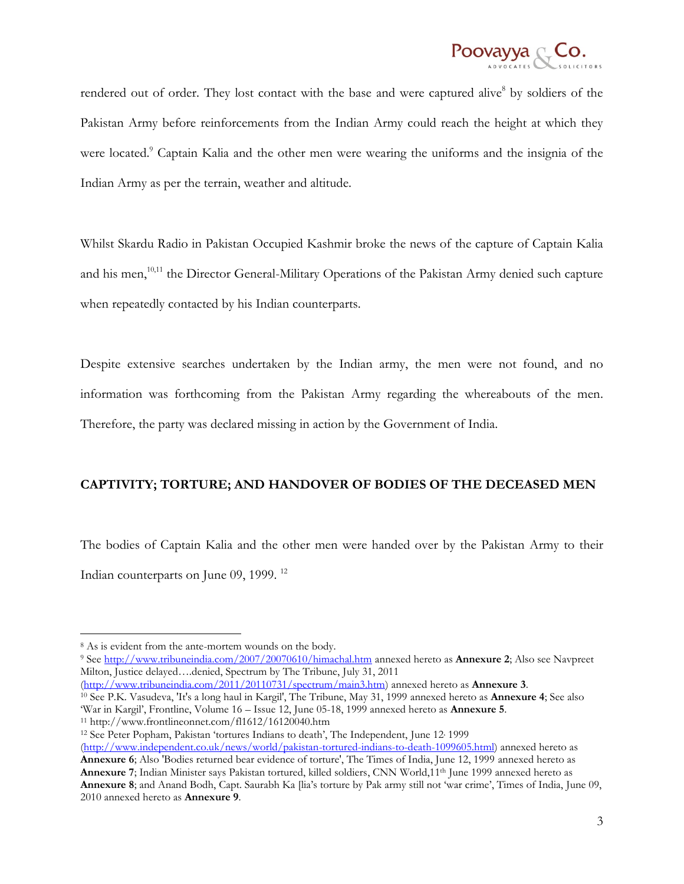

rendered out of order. They lost contact with the base and were captured alive<sup>8</sup> by soldiers of the Pakistan Army before reinforcements from the Indian Army could reach the height at which they were located.<sup>9</sup> Captain Kalia and the other men were wearing the uniforms and the insignia of the Indian Army as per the terrain, weather and altitude.

Whilst Skardu Radio in Pakistan Occupied Kashmir broke the news of the capture of Captain Kalia and his men,<sup>10,11</sup> the Director General-Military Operations of the Pakistan Army denied such capture when repeatedly contacted by his Indian counterparts.

Despite extensive searches undertaken by the Indian army, the men were not found, and no information was forthcoming from the Pakistan Army regarding the whereabouts of the men. Therefore, the party was declared missing in action by the Government of India.

## **CAPTIVITY; TORTURE; AND HANDOVER OF BODIES OF THE DECEASED MEN**

The bodies of Captain Kalia and the other men were handed over by the Pakistan Army to their Indian counterparts on June 09, 1999.<sup>12</sup>

 $\overline{a}$ 

<sup>9</sup> See<http://www.tribuneindia.com/2007/20070610/himachal.htm> annexed hereto as **Annexure 2**; Also see Navpreet Milton, Justice delayed….denied, Spectrum by The Tribune, July 31, 2011

[\(http://www.tribuneindia.com/2011/20110731/spectrum/main3.htm\)](http://www.tribuneindia.com/2011/20110731/spectrum/main3.htm) annexed hereto as **Annexure 3**. <sup>10</sup> See P.K. Vasudeva, 'It's a long haul in Kargil', The Tribune, May 31, 1999 annexed hereto as **Annexure 4**; See also "War in Kargil", Frontline, Volume 16 – Issue 12, June 05-18, 1999 annexed hereto as **Annexure 5**.

<sup>11</sup> http://www.frontlineonnet.com/fl1612/16120040.htm

<sup>12</sup> See Peter Popham, Pakistan 'tortures Indians to death', The Independent, June 12<sup>,</sup> 1999

<sup>&</sup>lt;sup>8</sup> As is evident from the ante-mortem wounds on the body.

[<sup>\(</sup>http://www.independent.co.uk/news/world/pakistan-tortured-indians-to-death-1099605.html\)](http://www.independent.co.uk/news/world/pakistan-tortured-indians-to-death-1099605.html) annexed hereto as **Annexure 6**; Also 'Bodies returned bear evidence of torture', The Times of India, June 12, 1999 annexed hereto as **Annexure 7**; Indian Minister says Pakistan tortured, killed soldiers, CNN World,11th June 1999 annexed hereto as **Annexure 8**; and Anand Bodh, Capt. Saurabh Ka [lia"s torture by Pak army still not "war crime", Times of India, June 09, 2010 annexed hereto as **Annexure 9**.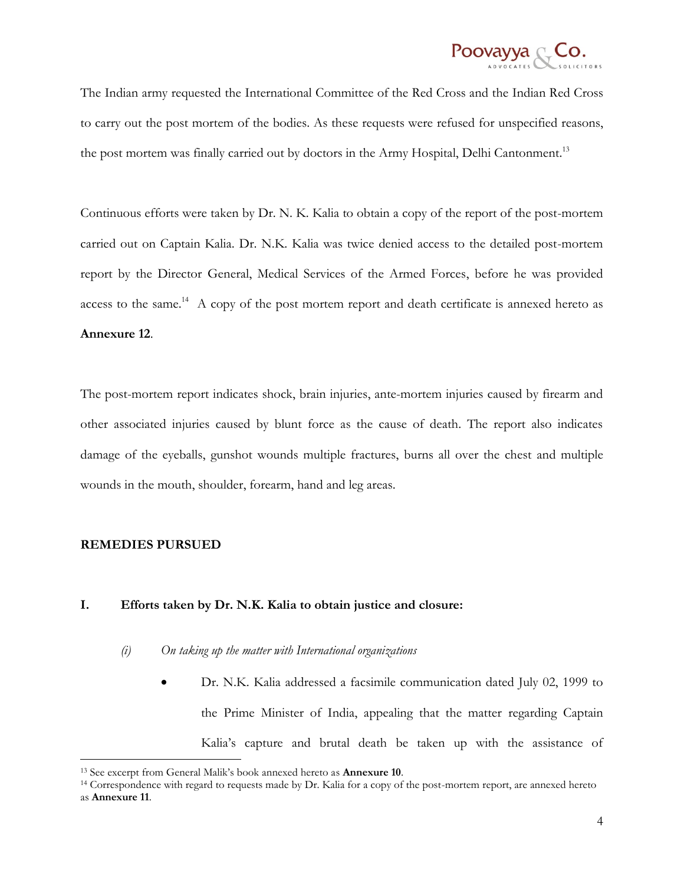

The Indian army requested the International Committee of the Red Cross and the Indian Red Cross to carry out the post mortem of the bodies. As these requests were refused for unspecified reasons, the post mortem was finally carried out by doctors in the Army Hospital, Delhi Cantonment.<sup>13</sup>

Continuous efforts were taken by Dr. N. K. Kalia to obtain a copy of the report of the post-mortem carried out on Captain Kalia. Dr. N.K. Kalia was twice denied access to the detailed post-mortem report by the Director General, Medical Services of the Armed Forces, before he was provided access to the same.<sup>14</sup> A copy of the post mortem report and death certificate is annexed hereto as **Annexure 12**.

The post-mortem report indicates shock, brain injuries, ante-mortem injuries caused by firearm and other associated injuries caused by blunt force as the cause of death. The report also indicates damage of the eyeballs, gunshot wounds multiple fractures, burns all over the chest and multiple wounds in the mouth, shoulder, forearm, hand and leg areas.

### **REMEDIES PURSUED**

 $\overline{a}$ 

### **I. Efforts taken by Dr. N.K. Kalia to obtain justice and closure:**

- *(i) On taking up the matter with International organizations*
	- Dr. N.K. Kalia addressed a facsimile communication dated July 02, 1999 to the Prime Minister of India, appealing that the matter regarding Captain Kalia"s capture and brutal death be taken up with the assistance of

<sup>13</sup> See excerpt from General Malik"s book annexed hereto as **Annexure 10**.

<sup>14</sup> Correspondence with regard to requests made by Dr. Kalia for a copy of the post-mortem report, are annexed hereto as **Annexure 11**.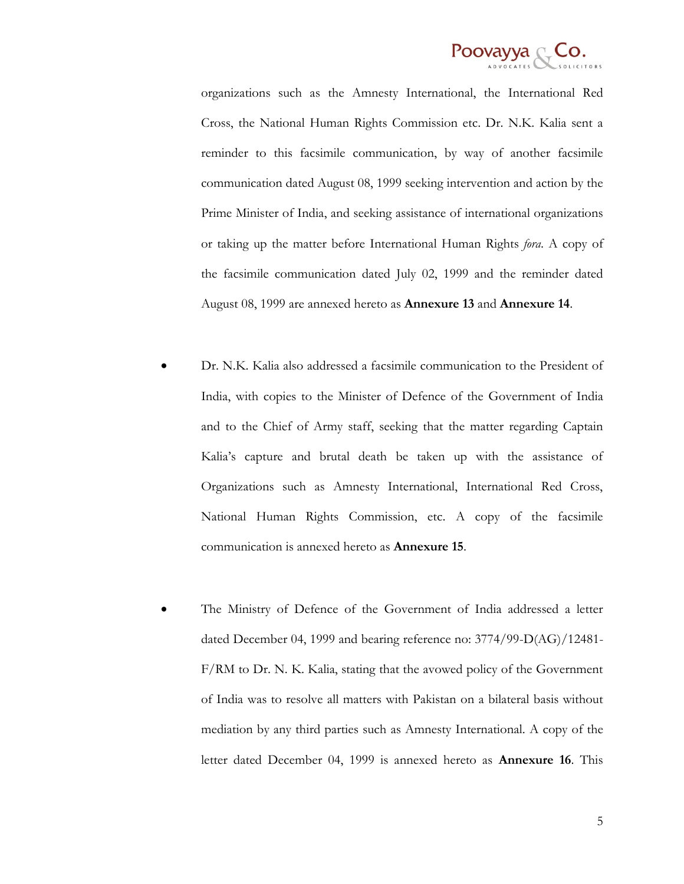

organizations such as the Amnesty International, the International Red Cross, the National Human Rights Commission etc. Dr. N.K. Kalia sent a reminder to this facsimile communication, by way of another facsimile communication dated August 08, 1999 seeking intervention and action by the Prime Minister of India, and seeking assistance of international organizations or taking up the matter before International Human Rights *fora*. A copy of the facsimile communication dated July 02, 1999 and the reminder dated August 08, 1999 are annexed hereto as **Annexure 13** and **Annexure 14**.

- Dr. N.K. Kalia also addressed a facsimile communication to the President of India, with copies to the Minister of Defence of the Government of India and to the Chief of Army staff, seeking that the matter regarding Captain Kalia"s capture and brutal death be taken up with the assistance of Organizations such as Amnesty International, International Red Cross, National Human Rights Commission, etc. A copy of the facsimile communication is annexed hereto as **Annexure 15**.
- The Ministry of Defence of the Government of India addressed a letter dated December 04, 1999 and bearing reference no: 3774/99-D(AG)/12481- F/RM to Dr. N. K. Kalia, stating that the avowed policy of the Government of India was to resolve all matters with Pakistan on a bilateral basis without mediation by any third parties such as Amnesty International. A copy of the letter dated December 04, 1999 is annexed hereto as **Annexure 16**. This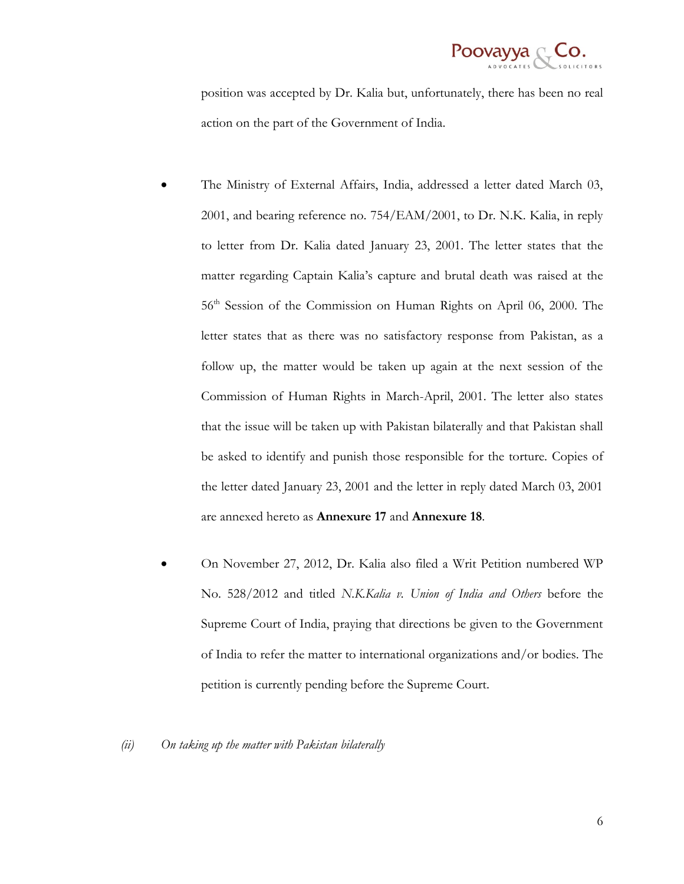

position was accepted by Dr. Kalia but, unfortunately, there has been no real action on the part of the Government of India.

- The Ministry of External Affairs, India, addressed a letter dated March 03, 2001, and bearing reference no. 754/EAM/2001, to Dr. N.K. Kalia, in reply to letter from Dr. Kalia dated January 23, 2001. The letter states that the matter regarding Captain Kalia"s capture and brutal death was raised at the 56th Session of the Commission on Human Rights on April 06, 2000. The letter states that as there was no satisfactory response from Pakistan, as a follow up, the matter would be taken up again at the next session of the Commission of Human Rights in March-April, 2001. The letter also states that the issue will be taken up with Pakistan bilaterally and that Pakistan shall be asked to identify and punish those responsible for the torture. Copies of the letter dated January 23, 2001 and the letter in reply dated March 03, 2001 are annexed hereto as **Annexure 17** and **Annexure 18**.
- On November 27, 2012, Dr. Kalia also filed a Writ Petition numbered WP No. 528/2012 and titled *N.K.Kalia v. Union of India and Others* before the Supreme Court of India, praying that directions be given to the Government of India to refer the matter to international organizations and/or bodies. The petition is currently pending before the Supreme Court.

#### *(ii) On taking up the matter with Pakistan bilaterally*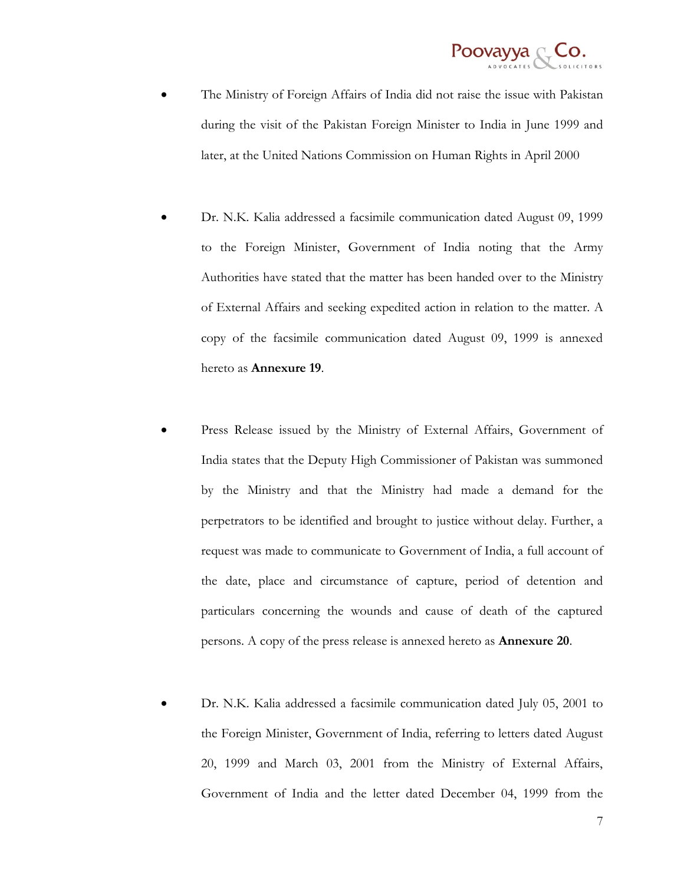

- The Ministry of Foreign Affairs of India did not raise the issue with Pakistan during the visit of the Pakistan Foreign Minister to India in June 1999 and later, at the United Nations Commission on Human Rights in April 2000
- Dr. N.K. Kalia addressed a facsimile communication dated August 09, 1999 to the Foreign Minister, Government of India noting that the Army Authorities have stated that the matter has been handed over to the Ministry of External Affairs and seeking expedited action in relation to the matter. A copy of the facsimile communication dated August 09, 1999 is annexed hereto as **Annexure 19**.
- Press Release issued by the Ministry of External Affairs, Government of India states that the Deputy High Commissioner of Pakistan was summoned by the Ministry and that the Ministry had made a demand for the perpetrators to be identified and brought to justice without delay. Further, a request was made to communicate to Government of India, a full account of the date, place and circumstance of capture, period of detention and particulars concerning the wounds and cause of death of the captured persons. A copy of the press release is annexed hereto as **Annexure 20**.
- Dr. N.K. Kalia addressed a facsimile communication dated July 05, 2001 to the Foreign Minister, Government of India, referring to letters dated August 20, 1999 and March 03, 2001 from the Ministry of External Affairs, Government of India and the letter dated December 04, 1999 from the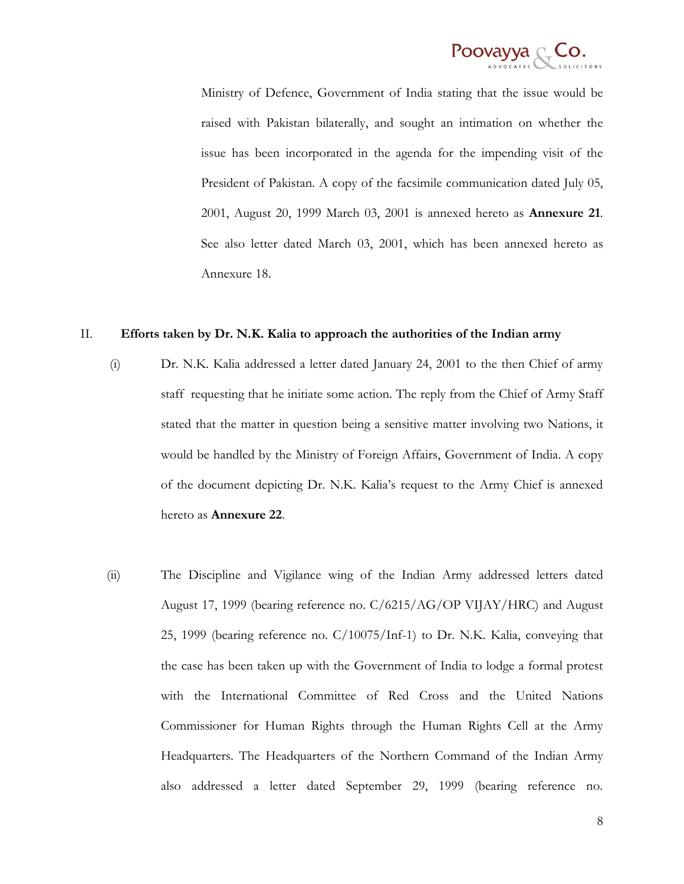

Ministry of Defence, Government of India stating that the issue would be raised with Pakistan bilaterally, and sought an intimation on whether the issue has been incorporated in the agenda for the impending visit of the President of Pakistan. A copy of the facsimile communication dated July 05, 2001, August 20, 1999 March 03, 2001 is annexed hereto as **Annexure 21**. See also letter dated March 03, 2001, which has been annexed hereto as Annexure 18.

#### II. **Efforts taken by Dr. N.K. Kalia to approach the authorities of the Indian army**

- (i) Dr. N.K. Kalia addressed a letter dated January 24, 2001 to the then Chief of army staff requesting that he initiate some action*.* The reply from the Chief of Army Staff stated that the matter in question being a sensitive matter involving two Nations, it would be handled by the Ministry of Foreign Affairs, Government of India. A copy of the document depicting Dr. N.K. Kalia"s request to the Army Chief is annexed hereto as **Annexure 22**.
- (ii) The Discipline and Vigilance wing of the Indian Army addressed letters dated August 17, 1999 (bearing reference no. C/6215/AG/OP VIJAY/HRC) and August 25, 1999 (bearing reference no. C/10075/Inf-1) to Dr. N.K. Kalia, conveying that the case has been taken up with the Government of India to lodge a formal protest with the International Committee of Red Cross and the United Nations Commissioner for Human Rights through the Human Rights Cell at the Army Headquarters. The Headquarters of the Northern Command of the Indian Army also addressed a letter dated September 29, 1999 (bearing reference no.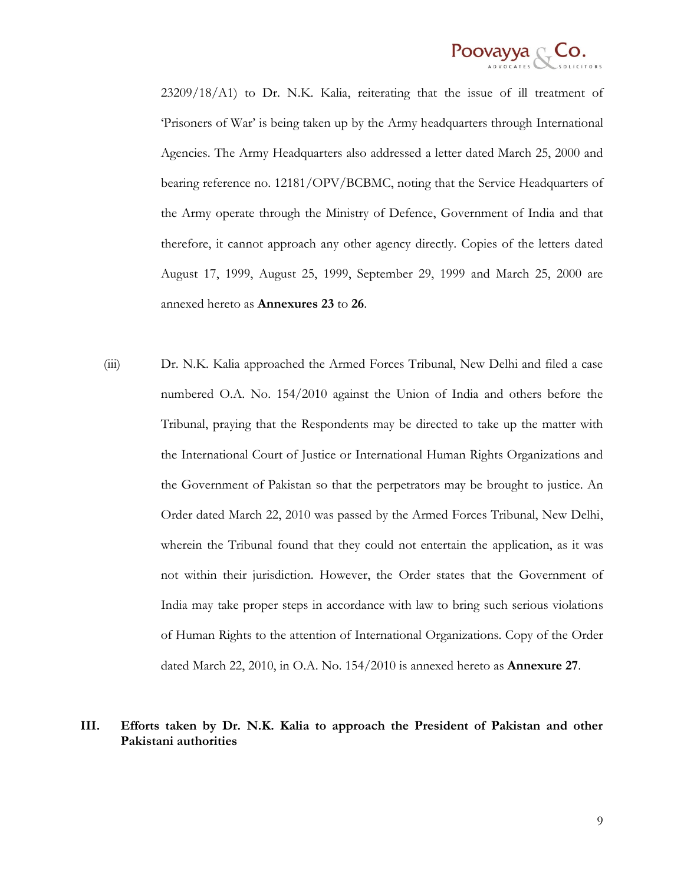

23209/18/A1) to Dr. N.K. Kalia, reiterating that the issue of ill treatment of "Prisoners of War" is being taken up by the Army headquarters through International Agencies. The Army Headquarters also addressed a letter dated March 25, 2000 and bearing reference no. 12181/OPV/BCBMC, noting that the Service Headquarters of the Army operate through the Ministry of Defence, Government of India and that therefore, it cannot approach any other agency directly. Copies of the letters dated August 17, 1999, August 25, 1999, September 29, 1999 and March 25, 2000 are annexed hereto as **Annexures 23** to **26**.

(iii) Dr. N.K. Kalia approached the Armed Forces Tribunal, New Delhi and filed a case numbered O.A. No. 154/2010 against the Union of India and others before the Tribunal, praying that the Respondents may be directed to take up the matter with the International Court of Justice or International Human Rights Organizations and the Government of Pakistan so that the perpetrators may be brought to justice. An Order dated March 22, 2010 was passed by the Armed Forces Tribunal, New Delhi, wherein the Tribunal found that they could not entertain the application, as it was not within their jurisdiction. However, the Order states that the Government of India may take proper steps in accordance with law to bring such serious violations of Human Rights to the attention of International Organizations. Copy of the Order dated March 22, 2010, in O.A. No. 154/2010 is annexed hereto as **Annexure 27**.

## **III. Efforts taken by Dr. N.K. Kalia to approach the President of Pakistan and other Pakistani authorities**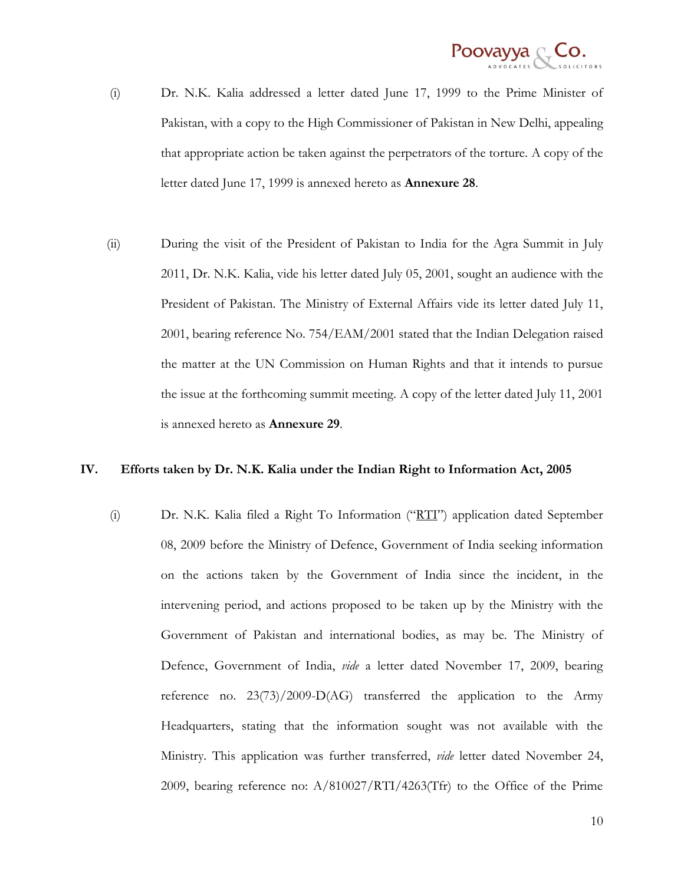

- (i) Dr. N.K. Kalia addressed a letter dated June 17, 1999 to the Prime Minister of Pakistan, with a copy to the High Commissioner of Pakistan in New Delhi, appealing that appropriate action be taken against the perpetrators of the torture. A copy of the letter dated June 17, 1999 is annexed hereto as **Annexure 28**.
- (ii) During the visit of the President of Pakistan to India for the Agra Summit in July 2011, Dr. N.K. Kalia, vide his letter dated July 05, 2001, sought an audience with the President of Pakistan. The Ministry of External Affairs vide its letter dated July 11, 2001, bearing reference No. 754/EAM/2001 stated that the Indian Delegation raised the matter at the UN Commission on Human Rights and that it intends to pursue the issue at the forthcoming summit meeting. A copy of the letter dated July 11, 2001 is annexed hereto as **Annexure 29**.

### **IV. Efforts taken by Dr. N.K. Kalia under the Indian Right to Information Act, 2005**

(i) Dr. N.K. Kalia filed a Right To Information ("RTI") application dated September 08, 2009 before the Ministry of Defence, Government of India seeking information on the actions taken by the Government of India since the incident, in the intervening period, and actions proposed to be taken up by the Ministry with the Government of Pakistan and international bodies, as may be. The Ministry of Defence, Government of India, *vide* a letter dated November 17, 2009, bearing reference no.  $23(73)/2009-D(AG)$  transferred the application to the Army Headquarters, stating that the information sought was not available with the Ministry. This application was further transferred, *vide* letter dated November 24, 2009, bearing reference no: A/810027/RTI/4263(Tfr) to the Office of the Prime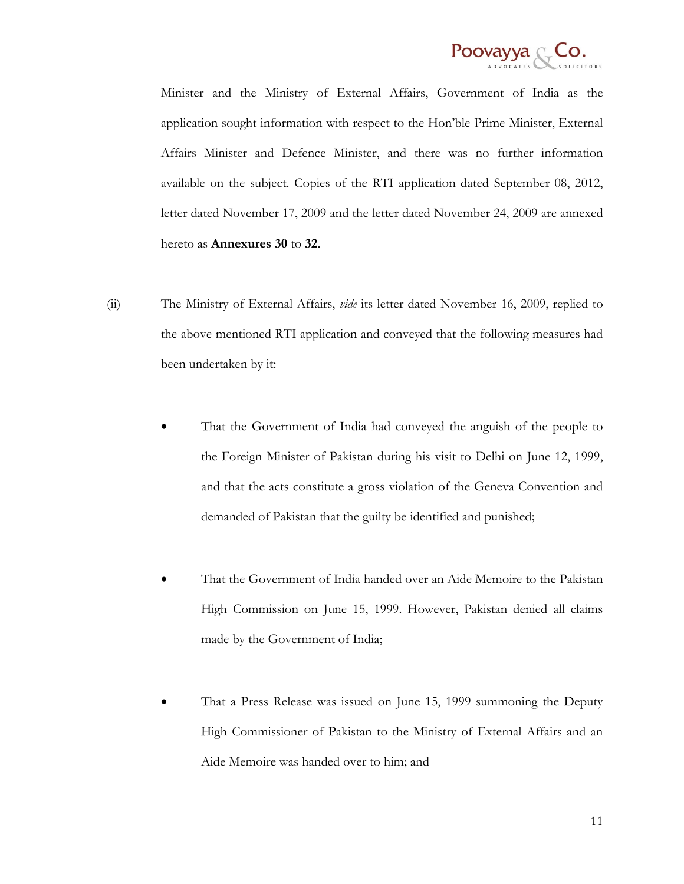

Minister and the Ministry of External Affairs, Government of India as the application sought information with respect to the Hon"ble Prime Minister, External Affairs Minister and Defence Minister, and there was no further information available on the subject. Copies of the RTI application dated September 08, 2012, letter dated November 17, 2009 and the letter dated November 24, 2009 are annexed hereto as **Annexures 30** to **32**.

- (ii) The Ministry of External Affairs, *vide* its letter dated November 16, 2009, replied to the above mentioned RTI application and conveyed that the following measures had been undertaken by it:
	- That the Government of India had conveyed the anguish of the people to the Foreign Minister of Pakistan during his visit to Delhi on June 12, 1999, and that the acts constitute a gross violation of the Geneva Convention and demanded of Pakistan that the guilty be identified and punished;
	- That the Government of India handed over an Aide Memoire to the Pakistan High Commission on June 15, 1999. However, Pakistan denied all claims made by the Government of India;
	- That a Press Release was issued on June 15, 1999 summoning the Deputy High Commissioner of Pakistan to the Ministry of External Affairs and an Aide Memoire was handed over to him; and

11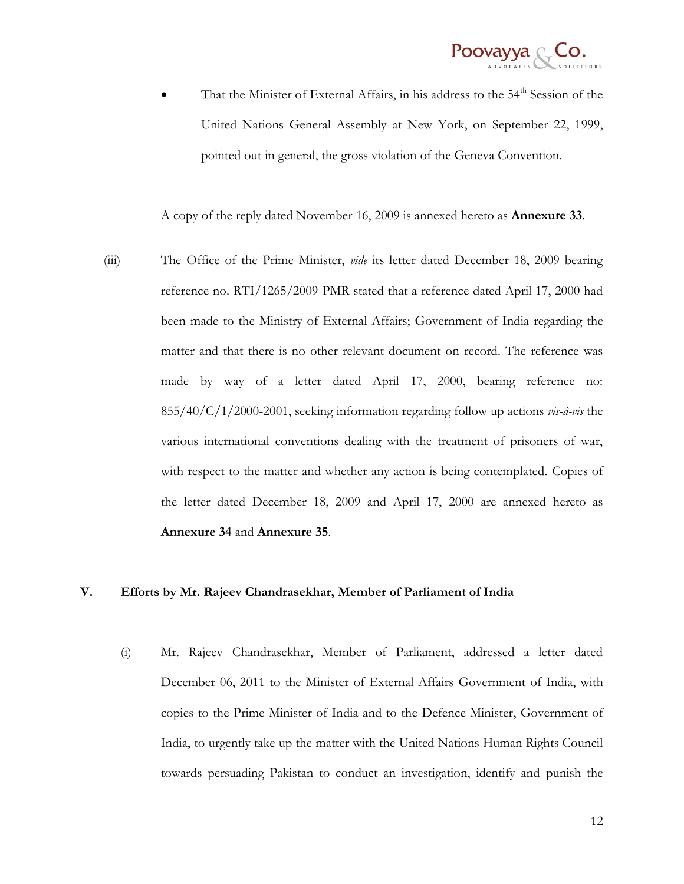

That the Minister of External Affairs, in his address to the 54<sup>th</sup> Session of the United Nations General Assembly at New York, on September 22, 1999, pointed out in general, the gross violation of the Geneva Convention.

A copy of the reply dated November 16, 2009 is annexed hereto as **Annexure 33**.

(iii) The Office of the Prime Minister, *vide* its letter dated December 18, 2009 bearing reference no. RTI/1265/2009-PMR stated that a reference dated April 17, 2000 had been made to the Ministry of External Affairs; Government of India regarding the matter and that there is no other relevant document on record. The reference was made by way of a letter dated April 17, 2000, bearing reference no: 855/40/C/1/2000-2001, seeking information regarding follow up actions *vis-à-vis* the various international conventions dealing with the treatment of prisoners of war, with respect to the matter and whether any action is being contemplated. Copies of the letter dated December 18, 2009 and April 17, 2000 are annexed hereto as **Annexure 34** and **Annexure 35**.

### **V. Efforts by Mr. Rajeev Chandrasekhar, Member of Parliament of India**

(i) Mr. Rajeev Chandrasekhar, Member of Parliament, addressed a letter dated December 06, 2011 to the Minister of External Affairs Government of India, with copies to the Prime Minister of India and to the Defence Minister, Government of India, to urgently take up the matter with the United Nations Human Rights Council towards persuading Pakistan to conduct an investigation, identify and punish the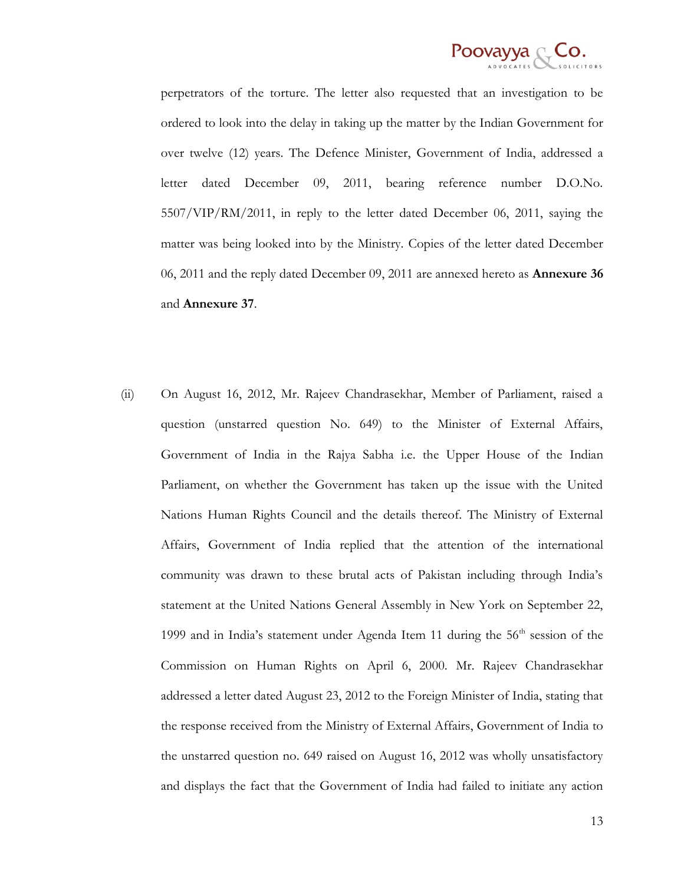

perpetrators of the torture. The letter also requested that an investigation to be ordered to look into the delay in taking up the matter by the Indian Government for over twelve (12) years. The Defence Minister, Government of India, addressed a letter dated December 09, 2011, bearing reference number D.O.No. 5507/VIP/RM/2011, in reply to the letter dated December 06, 2011, saying the matter was being looked into by the Ministry. Copies of the letter dated December 06, 2011 and the reply dated December 09, 2011 are annexed hereto as **Annexure 36** and **Annexure 37**.

(ii) On August 16, 2012, Mr. Rajeev Chandrasekhar, Member of Parliament, raised a question (unstarred question No. 649) to the Minister of External Affairs, Government of India in the Rajya Sabha i.e. the Upper House of the Indian Parliament, on whether the Government has taken up the issue with the United Nations Human Rights Council and the details thereof. The Ministry of External Affairs, Government of India replied that the attention of the international community was drawn to these brutal acts of Pakistan including through India"s statement at the United Nations General Assembly in New York on September 22, 1999 and in India's statement under Agenda Item 11 during the  $56<sup>th</sup>$  session of the Commission on Human Rights on April 6, 2000. Mr. Rajeev Chandrasekhar addressed a letter dated August 23, 2012 to the Foreign Minister of India, stating that the response received from the Ministry of External Affairs, Government of India to the unstarred question no. 649 raised on August 16, 2012 was wholly unsatisfactory and displays the fact that the Government of India had failed to initiate any action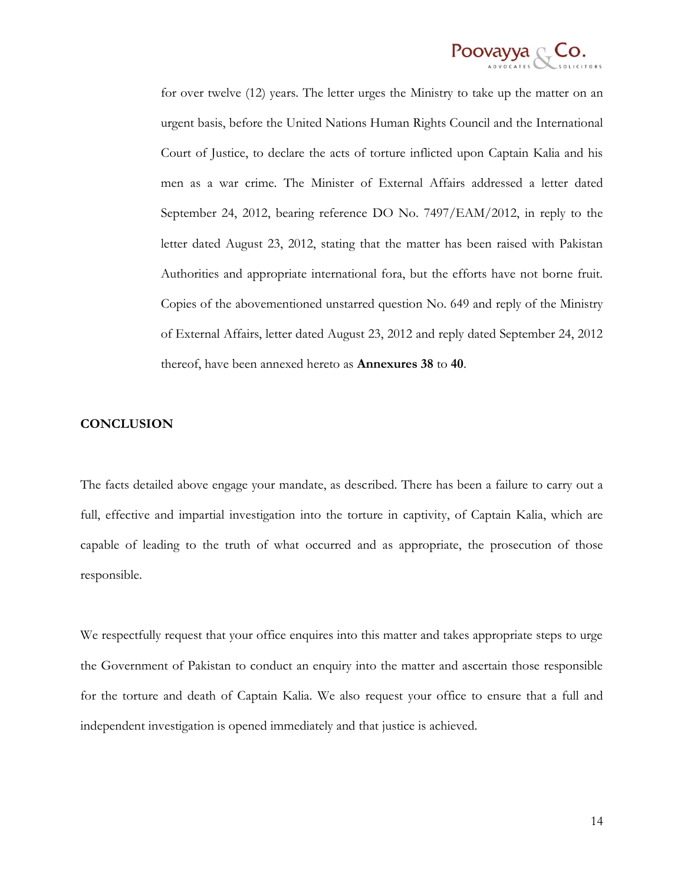

for over twelve (12) years. The letter urges the Ministry to take up the matter on an urgent basis, before the United Nations Human Rights Council and the International Court of Justice, to declare the acts of torture inflicted upon Captain Kalia and his men as a war crime. The Minister of External Affairs addressed a letter dated September 24, 2012, bearing reference DO No. 7497/EAM/2012, in reply to the letter dated August 23, 2012, stating that the matter has been raised with Pakistan Authorities and appropriate international fora, but the efforts have not borne fruit. Copies of the abovementioned unstarred question No. 649 and reply of the Ministry of External Affairs, letter dated August 23, 2012 and reply dated September 24, 2012 thereof, have been annexed hereto as **Annexures 38** to **40**.

### **CONCLUSION**

The facts detailed above engage your mandate, as described. There has been a failure to carry out a full, effective and impartial investigation into the torture in captivity, of Captain Kalia, which are capable of leading to the truth of what occurred and as appropriate, the prosecution of those responsible.

We respectfully request that your office enquires into this matter and takes appropriate steps to urge the Government of Pakistan to conduct an enquiry into the matter and ascertain those responsible for the torture and death of Captain Kalia. We also request your office to ensure that a full and independent investigation is opened immediately and that justice is achieved.